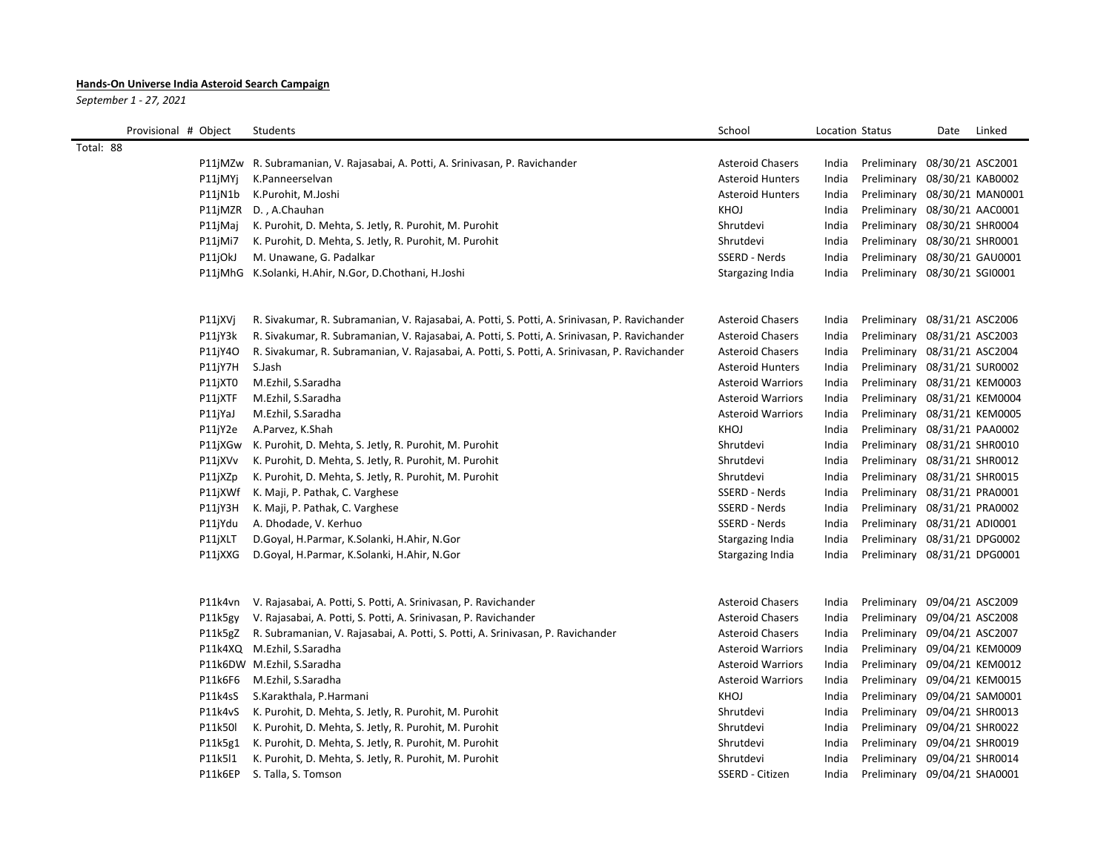## **Hands-On Universe India Asteroid Search Campaign**

*September 1 - 27, 2021*

|           | Provisional # Object | Students                                                                                                                           | School                                             | Location Status |                                                              | Date | Linked |
|-----------|----------------------|------------------------------------------------------------------------------------------------------------------------------------|----------------------------------------------------|-----------------|--------------------------------------------------------------|------|--------|
| Total: 88 |                      |                                                                                                                                    |                                                    |                 |                                                              |      |        |
|           |                      | P11jMZw R. Subramanian, V. Rajasabai, A. Potti, A. Srinivasan, P. Ravichander                                                      | <b>Asteroid Chasers</b>                            | India           | Preliminary 08/30/21 ASC2001                                 |      |        |
|           | P11jMYj              | K.Panneerselvan                                                                                                                    | <b>Asteroid Hunters</b>                            | India           | Preliminary 08/30/21 KAB0002                                 |      |        |
|           | P11jN1b              | K.Purohit, M.Joshi                                                                                                                 | <b>Asteroid Hunters</b>                            | India           | Preliminary 08/30/21 MAN0001                                 |      |        |
|           | P11jMZR              | D., A.Chauhan                                                                                                                      | KHOJ                                               | India           | Preliminary 08/30/21 AAC0001                                 |      |        |
|           | P11jMaj              | K. Purohit, D. Mehta, S. Jetly, R. Purohit, M. Purohit                                                                             | Shrutdevi                                          | India           | Preliminary 08/30/21 SHR0004                                 |      |        |
|           | P11jMi7              | K. Purohit, D. Mehta, S. Jetly, R. Purohit, M. Purohit                                                                             | Shrutdevi                                          | India           | Preliminary 08/30/21 SHR0001                                 |      |        |
|           | P11jOkJ              | M. Unawane, G. Padalkar                                                                                                            | SSERD - Nerds                                      | India           | Preliminary 08/30/21 GAU0001                                 |      |        |
|           |                      | P11jMhG K.Solanki, H.Ahir, N.Gor, D.Chothani, H.Joshi                                                                              | Stargazing India                                   | India           | Preliminary 08/30/21 SGI0001                                 |      |        |
|           |                      |                                                                                                                                    |                                                    |                 |                                                              |      |        |
|           | P11jXVj              | R. Sivakumar, R. Subramanian, V. Rajasabai, A. Potti, S. Potti, A. Srinivasan, P. Ravichander                                      | <b>Asteroid Chasers</b>                            | India           | Preliminary 08/31/21 ASC2006                                 |      |        |
|           | P11jY3k              | R. Sivakumar, R. Subramanian, V. Rajasabai, A. Potti, S. Potti, A. Srinivasan, P. Ravichander                                      | <b>Asteroid Chasers</b>                            | India           | Preliminary 08/31/21 ASC2003                                 |      |        |
|           | P11jY40              | R. Sivakumar, R. Subramanian, V. Rajasabai, A. Potti, S. Potti, A. Srinivasan, P. Ravichander                                      | <b>Asteroid Chasers</b>                            | India           | Preliminary 08/31/21 ASC2004                                 |      |        |
|           | P11jY7H              | S.Jash                                                                                                                             | <b>Asteroid Hunters</b>                            | India           | Preliminary 08/31/21 SUR0002                                 |      |        |
|           | P11jXT0              | M.Ezhil, S.Saradha                                                                                                                 | <b>Asteroid Warriors</b>                           | India           | Preliminary 08/31/21 KEM0003                                 |      |        |
|           | P11jXTF              | M.Ezhil, S.Saradha                                                                                                                 | <b>Asteroid Warriors</b>                           | India           | Preliminary 08/31/21 KEM0004                                 |      |        |
|           | P11jYaJ              | M.Ezhil, S.Saradha                                                                                                                 | <b>Asteroid Warriors</b>                           | India           | Preliminary 08/31/21 KEM0005                                 |      |        |
|           | P11jY2e              | A.Parvez, K.Shah                                                                                                                   | <b>KHOJ</b>                                        | India           | Preliminary 08/31/21 PAA0002                                 |      |        |
|           | P11jXGw              | K. Purohit, D. Mehta, S. Jetly, R. Purohit, M. Purohit                                                                             | Shrutdevi                                          | India           | Preliminary 08/31/21 SHR0010                                 |      |        |
|           | P11jXVv              | K. Purohit, D. Mehta, S. Jetly, R. Purohit, M. Purohit                                                                             | Shrutdevi                                          | India           | Preliminary 08/31/21 SHR0012                                 |      |        |
|           | P11jXZp              | K. Purohit, D. Mehta, S. Jetly, R. Purohit, M. Purohit                                                                             | Shrutdevi                                          | India           | Preliminary 08/31/21 SHR0015                                 |      |        |
|           | P11jXWf              | K. Maji, P. Pathak, C. Varghese                                                                                                    | SSERD - Nerds                                      | India           | Preliminary 08/31/21 PRA0001                                 |      |        |
|           | P11jY3H              | K. Maji, P. Pathak, C. Varghese                                                                                                    | SSERD - Nerds                                      | India           | Preliminary 08/31/21 PRA0002                                 |      |        |
|           | P11jYdu              | A. Dhodade, V. Kerhuo                                                                                                              | SSERD - Nerds                                      | India           | Preliminary 08/31/21 ADI0001                                 |      |        |
|           | P11jXLT              | D.Goyal, H.Parmar, K.Solanki, H.Ahir, N.Gor                                                                                        | Stargazing India                                   | India           | Preliminary 08/31/21 DPG0002                                 |      |        |
|           | P11jXXG              | D.Goyal, H.Parmar, K.Solanki, H.Ahir, N.Gor                                                                                        | Stargazing India                                   | India           | Preliminary 08/31/21 DPG0001                                 |      |        |
|           |                      |                                                                                                                                    |                                                    |                 |                                                              |      |        |
|           |                      |                                                                                                                                    |                                                    |                 |                                                              |      |        |
|           | P11k4vn              | V. Rajasabai, A. Potti, S. Potti, A. Srinivasan, P. Ravichander<br>V. Rajasabai, A. Potti, S. Potti, A. Srinivasan, P. Ravichander | <b>Asteroid Chasers</b><br><b>Asteroid Chasers</b> | India<br>India  | Preliminary 09/04/21 ASC2009<br>Preliminary 09/04/21 ASC2008 |      |        |
|           | P11k5gy              |                                                                                                                                    | <b>Asteroid Chasers</b>                            | India           | Preliminary 09/04/21 ASC2007                                 |      |        |
|           | P11k5gZ              | R. Subramanian, V. Rajasabai, A. Potti, S. Potti, A. Srinivasan, P. Ravichander<br>P11k4XQ M.Ezhil, S.Saradha                      | <b>Asteroid Warriors</b>                           | India           | Preliminary 09/04/21 KEM0009                                 |      |        |
|           |                      | P11k6DW M.Ezhil, S.Saradha                                                                                                         | <b>Asteroid Warriors</b>                           | India           | Preliminary 09/04/21 KEM0012                                 |      |        |
|           | P11k6F6              | M.Ezhil, S.Saradha                                                                                                                 | <b>Asteroid Warriors</b>                           | India           | Preliminary 09/04/21 KEM0015                                 |      |        |
|           |                      |                                                                                                                                    |                                                    |                 |                                                              |      |        |
|           | P11k4sS<br>P11k4vS   | S.Karakthala, P.Harmani                                                                                                            | KHOJ<br>Shrutdevi                                  | India           | Preliminary 09/04/21 SAM0001                                 |      |        |
|           |                      | K. Purohit, D. Mehta, S. Jetly, R. Purohit, M. Purohit                                                                             |                                                    | India           | Preliminary 09/04/21 SHR0013                                 |      |        |
|           | P11k50l              | K. Purohit, D. Mehta, S. Jetly, R. Purohit, M. Purohit                                                                             | Shrutdevi                                          | India           | Preliminary 09/04/21 SHR0022                                 |      |        |
|           | P11k5g1              | K. Purohit, D. Mehta, S. Jetly, R. Purohit, M. Purohit                                                                             | Shrutdevi<br>Shrutdevi                             | India<br>India  | Preliminary 09/04/21 SHR0019                                 |      |        |
|           | P11k5I1              | K. Purohit, D. Mehta, S. Jetly, R. Purohit, M. Purohit                                                                             |                                                    |                 | Preliminary 09/04/21 SHR0014                                 |      |        |
|           | P11k6EP              | S. Talla, S. Tomson                                                                                                                | SSERD - Citizen                                    | India           | Preliminary 09/04/21 SHA0001                                 |      |        |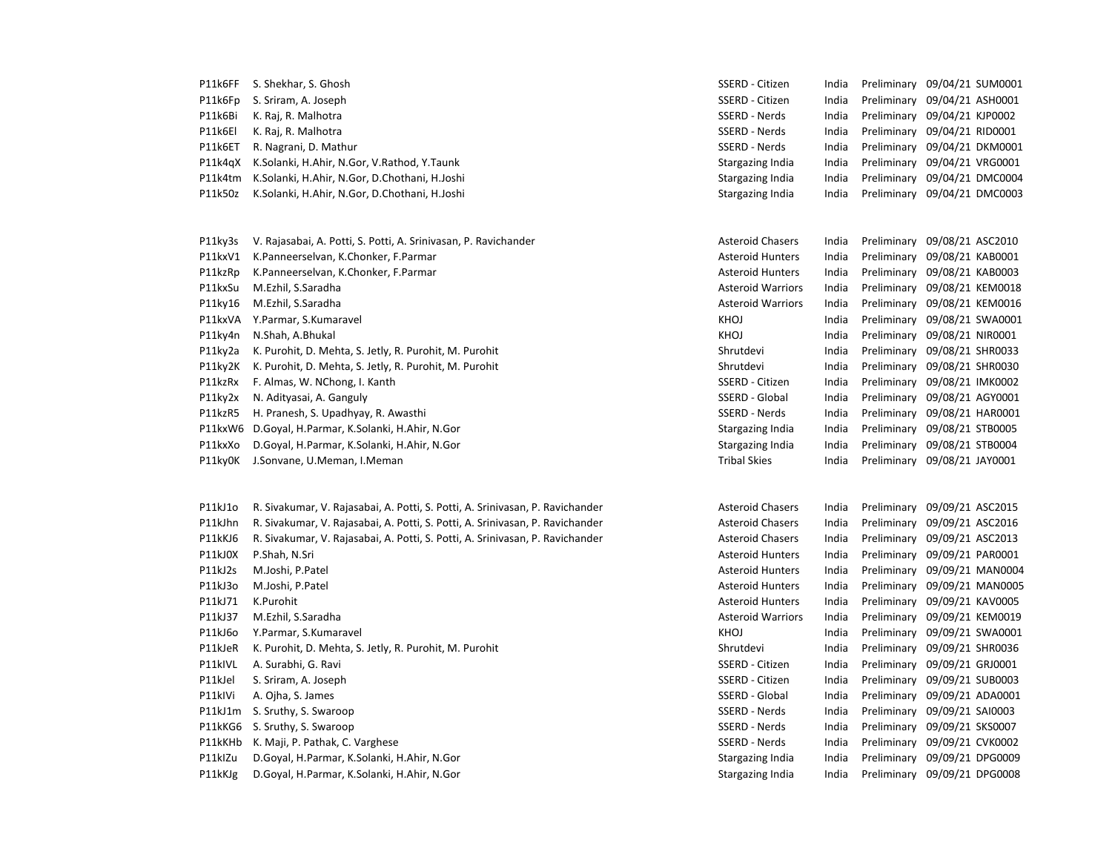| P11k6FF | S. Shekhar, S. Ghosh                                                          | SSERD - Citizen          | India | Preliminary 09/04/21 SUM0001 |
|---------|-------------------------------------------------------------------------------|--------------------------|-------|------------------------------|
| P11k6Fp | S. Sriram, A. Joseph                                                          | SSERD - Citizen          | India | Preliminary 09/04/21 ASH0001 |
| P11k6Bi | K. Raj, R. Malhotra                                                           | SSERD - Nerds            | India | Preliminary 09/04/21 KJP0002 |
| P11k6El | K. Raj, R. Malhotra                                                           | SSERD - Nerds            | India | Preliminary 09/04/21 RID0001 |
| P11k6ET | R. Nagrani, D. Mathur                                                         | SSERD - Nerds            | India | Preliminary 09/04/21 DKM0001 |
| P11k4qX | K.Solanki, H.Ahir, N.Gor, V.Rathod, Y.Taunk                                   | Stargazing India         | India | Preliminary 09/04/21 VRG0001 |
| P11k4tm | K.Solanki, H.Ahir, N.Gor, D.Chothani, H.Joshi                                 | Stargazing India         | India | Preliminary 09/04/21 DMC0004 |
| P11k50z | K.Solanki, H.Ahir, N.Gor, D.Chothani, H.Joshi                                 | Stargazing India         | India | Preliminary 09/04/21 DMC0003 |
| P11ky3s | V. Rajasabai, A. Potti, S. Potti, A. Srinivasan, P. Ravichander               | <b>Asteroid Chasers</b>  | India | Preliminary 09/08/21 ASC2010 |
| P11kxV1 | K.Panneerselvan, K.Chonker, F.Parmar                                          | <b>Asteroid Hunters</b>  | India | Preliminary 09/08/21 KAB0001 |
| P11kzRp | K.Panneerselvan, K.Chonker, F.Parmar                                          | <b>Asteroid Hunters</b>  | India | Preliminary 09/08/21 KAB0003 |
| P11kxSu | M.Ezhil, S.Saradha                                                            | <b>Asteroid Warriors</b> | India | Preliminary 09/08/21 KEM0018 |
| P11ky16 | M.Ezhil, S.Saradha                                                            | <b>Asteroid Warriors</b> | India | Preliminary 09/08/21 KEM0016 |
| P11kxVA | Y.Parmar, S.Kumaravel                                                         | KHOJ                     | India | Preliminary 09/08/21 SWA0001 |
| P11ky4n | N.Shah, A.Bhukal                                                              | <b>KHOJ</b>              | India | Preliminary 09/08/21 NIR0001 |
| P11ky2a | K. Purohit, D. Mehta, S. Jetly, R. Purohit, M. Purohit                        | Shrutdevi                | India | Preliminary 09/08/21 SHR0033 |
| P11ky2K | K. Purohit, D. Mehta, S. Jetly, R. Purohit, M. Purohit                        | Shrutdevi                | India | Preliminary 09/08/21 SHR0030 |
| P11kzRx | F. Almas, W. NChong, I. Kanth                                                 | SSERD - Citizen          | India | Preliminary 09/08/21 IMK0002 |
| P11ky2x | N. Adityasai, A. Ganguly                                                      | SSERD - Global           | India | Preliminary 09/08/21 AGY0001 |
| P11kzR5 | H. Pranesh, S. Upadhyay, R. Awasthi                                           | SSERD - Nerds            | India | Preliminary 09/08/21 HAR0001 |
|         | P11kxW6 D.Goyal, H.Parmar, K.Solanki, H.Ahir, N.Gor                           | Stargazing India         | India | Preliminary 09/08/21 STB0005 |
| P11kxXo | D.Goyal, H.Parmar, K.Solanki, H.Ahir, N.Gor                                   | Stargazing India         | India | Preliminary 09/08/21 STB0004 |
| P11ky0K | J.Sonvane, U.Meman, I.Meman                                                   | <b>Tribal Skies</b>      | India | Preliminary 09/08/21 JAY0001 |
| P11kJ1o | R. Sivakumar, V. Rajasabai, A. Potti, S. Potti, A. Srinivasan, P. Ravichander | <b>Asteroid Chasers</b>  | India | Preliminary 09/09/21 ASC2015 |
| P11kJhn | R. Sivakumar, V. Rajasabai, A. Potti, S. Potti, A. Srinivasan, P. Ravichander | <b>Asteroid Chasers</b>  | India | Preliminary 09/09/21 ASC2016 |
| P11kKJ6 | R. Sivakumar, V. Rajasabai, A. Potti, S. Potti, A. Srinivasan, P. Ravichander | <b>Asteroid Chasers</b>  | India | Preliminary 09/09/21 ASC2013 |
| P11kJ0X | P.Shah, N.Sri                                                                 | <b>Asteroid Hunters</b>  | India | Preliminary 09/09/21 PAR0001 |
| P11kJ2s | M.Joshi, P.Patel                                                              | <b>Asteroid Hunters</b>  | India | Preliminary 09/09/21 MAN0004 |
| P11kJ3o | M.Joshi, P.Patel                                                              | <b>Asteroid Hunters</b>  | India | Preliminary 09/09/21 MAN0005 |
| P11kJ71 | K.Purohit                                                                     | <b>Asteroid Hunters</b>  | India | Preliminary 09/09/21 KAV0005 |
| P11kJ37 | M.Ezhil, S.Saradha                                                            | <b>Asteroid Warriors</b> | India | Preliminary 09/09/21 KEM0019 |
| P11kJ6o | Y.Parmar, S.Kumaravel                                                         | KHOJ                     | India | Preliminary 09/09/21 SWA0001 |
| P11kJeR | K. Purohit, D. Mehta, S. Jetly, R. Purohit, M. Purohit                        | Shrutdevi                | India | Preliminary 09/09/21 SHR0036 |
| P11kIVL | A. Surabhi, G. Ravi                                                           | SSERD - Citizen          | India | Preliminary 09/09/21 GRJ0001 |
| P11kJel | S. Sriram, A. Joseph                                                          | SSERD - Citizen          | India | Preliminary 09/09/21 SUB0003 |
| P11kIVi | A. Ojha, S. James                                                             | SSERD - Global           | India | Preliminary 09/09/21 ADA0001 |
| P11kJ1m | S. Sruthy, S. Swaroop                                                         | SSERD - Nerds            | India | Preliminary 09/09/21 SAI0003 |
| P11kKG6 | S. Sruthy, S. Swaroop                                                         | SSERD - Nerds            | India | Preliminary 09/09/21 SKS0007 |
| P11kKHb | K. Maji, P. Pathak, C. Varghese                                               | SSERD - Nerds            | India | Preliminary 09/09/21 CVK0002 |
| P11kIZu | D.Goyal, H.Parmar, K.Solanki, H.Ahir, N.Gor                                   | Stargazing India         | India | Preliminary 09/09/21 DPG0009 |
| P11kKJg | D.Goyal, H.Parmar, K.Solanki, H.Ahir, N.Gor                                   | Stargazing India         | India | Preliminary 09/09/21 DPG0008 |